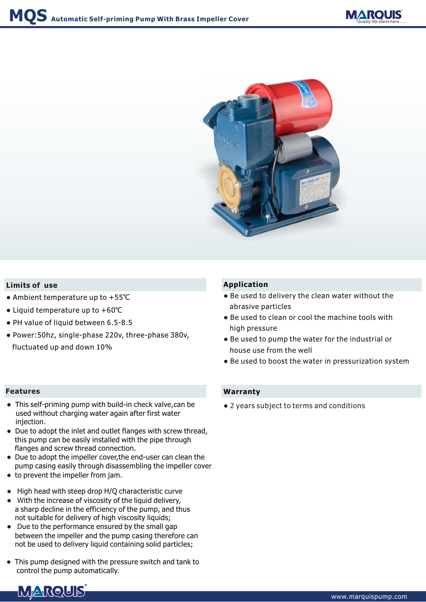



## **Limits of use**

- Ambient temperature up to +55℃
- Liquid temperature up to +60℃
- PH value of liquid between 6.5-8.5
- Power:50hz, single-phase 220v, three-phase 380v, fluctuated up and down 10%

- This self-priming pump with build-in check valve,can be used without charging water again after first water injection.
- Due to adopt the inlet and outlet flanges with screw thread, this pump can be easily installed with the pipe through flanges and screw thread connection.
- Due to adopt the impeller cover, the end-user can clean the pump casing easily through disassembling the impeller cover
- to prevent the impeller from jam.
- High head with steep drop H/Q characteristic curve
- W ith the increase of viscosity of the liquid delivery, a sharp decline in the efficiency of the pump, and thus not suitable for delivery of high viscosity liquids;
- D ue to the performance ensured by the small gap between the impeller and the pump casing therefore can not be used to delivery liquid containing solid particles;
- This pump designed with the pressure switch and tank to control the pump automatically.

## **Application**

- Be used to delivery the clean water without the abrasive particles
- Be used to clean or cool the machine tools with high pressure
- Be used to pump the water for the industrial or house use from the well
- Be used to boost the water in pressurization system

#### **Features Warranty**

● 2 years subject to terms and conditions

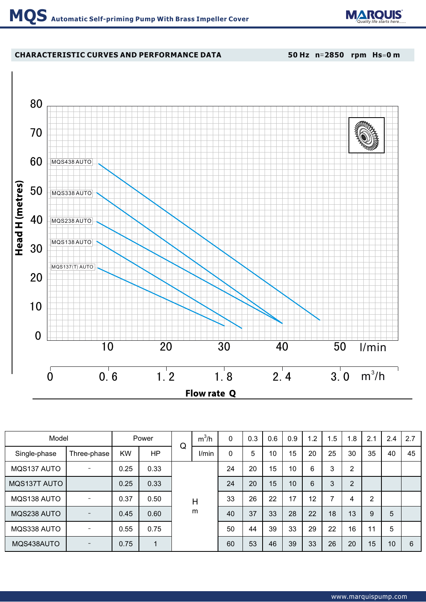

# **CHARACTERISTIC CURVES AND PERFORMANCE DATA**

**50 Hz n**=**2850 rpm Hs**=**0 m**



| Model        |                          | Power     |      | Q | $m^3/h$ | 0        | 0.3 | 0.6 | 0.9 | 1.2 | 1.5 | 1.8            | 2.1            | 2.4 | 2.7 |
|--------------|--------------------------|-----------|------|---|---------|----------|-----|-----|-----|-----|-----|----------------|----------------|-----|-----|
| Single-phase | Three-phase              | <b>KW</b> | HP   |   | I/min   | $\Omega$ | 5   | 10  | 15  | 20  | 25  | 30             | 35             | 40  | 45  |
| MQS137 AUTO  |                          | 0.25      | 0.33 |   |         |          | 20  | 15  | 10  | 6   | 3   | $\overline{2}$ |                |     |     |
| MQS137T AUTO |                          | 0.25      | 0.33 |   |         | 24       | 20  | 15  | 10  | 6   | 3   | $\overline{2}$ |                |     |     |
| MQS138 AUTO  | $\overline{\phantom{0}}$ | 0.37      | 0.50 |   | H       | 33       | 26  | 22  | 17  | 12  | ⇁   | 4              | $\overline{2}$ |     |     |
| MQS238 AUTO  |                          | 0.45      | 0.60 |   | m       | 40       | 37  | 33  | 28  | 22  | 18  | 13             | 9              | 5   |     |
| MQS338 AUTO  |                          | 0.55      | 0.75 |   |         | 50       | 44  | 39  | 33  | 29  | 22  | 16             | 11             | 5   |     |
| MQS438AUTO   |                          | 0.75      |      |   |         | 60       | 53  | 46  | 39  | 33  | 26  | 20             | 15             | 10  | 6   |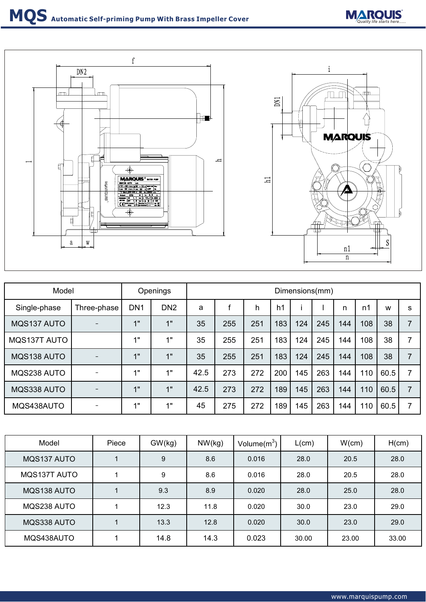

| Model        |                          | <b>Openings</b> |                 | Dimensions(mm) |     |     |                |     |     |     |                |      |   |
|--------------|--------------------------|-----------------|-----------------|----------------|-----|-----|----------------|-----|-----|-----|----------------|------|---|
| Single-phase | Three-phase              | DN <sub>1</sub> | DN <sub>2</sub> | a              |     | h   | h <sub>1</sub> |     |     | n   | n <sub>1</sub> | W    | S |
| MQS137 AUTO  |                          | 1"              | 1"              | 35             | 255 | 251 | 183            | 124 | 245 | 144 | 108            | 38   | 7 |
| MQS137T AUTO |                          | 1"              | 1"              | 35             | 255 | 251 | 183            | 124 | 245 | 144 | 108            | 38   |   |
| MQS138 AUTO  |                          | 1"              | 1"              | 35             | 255 | 251 | 183            | 124 | 245 | 144 | 108            | 38   |   |
| MQS238 AUTO  |                          | 1"              | 4"              | 42.5           | 273 | 272 | 200            | 145 | 263 | 144 | 110            | 60.5 |   |
| MQS338 AUTO  |                          | 1"              | 1"              | 42.5           | 273 | 272 | 189            | 145 | 263 | 144 | 110            | 60.5 | 7 |
| MQS438AUTO   | $\overline{\phantom{0}}$ | 1"              | 4 !!            | 45             | 275 | 272 | 189            | 145 | 263 | 144 | 110            | 60.5 |   |

| Model        | Piece | GW(kg) | NW(kg) | Volume $(m^3)$ | L(cm) | W(cm) | H(cm) |
|--------------|-------|--------|--------|----------------|-------|-------|-------|
| MQS137 AUTO  |       | $9\,$  | 8.6    | 0.016          | 28.0  | 20.5  | 28.0  |
| MQS137T AUTO |       | 9      | 8.6    | 0.016          | 28.0  | 20.5  | 28.0  |
| MQS138 AUTO  |       | 9.3    | 8.9    | 0.020          | 28.0  | 25.0  | 28.0  |
| MQS238 AUTO  |       | 12.3   | 11.8   | 0.020          | 30.0  | 23.0  | 29.0  |
| MQS338 AUTO  |       | 13.3   | 12.8   | 0.020          | 30.0  | 23.0  | 29.0  |
| MQS438AUTO   |       | 14.8   | 14.3   | 0.023          | 30.00 | 23.00 | 33.00 |